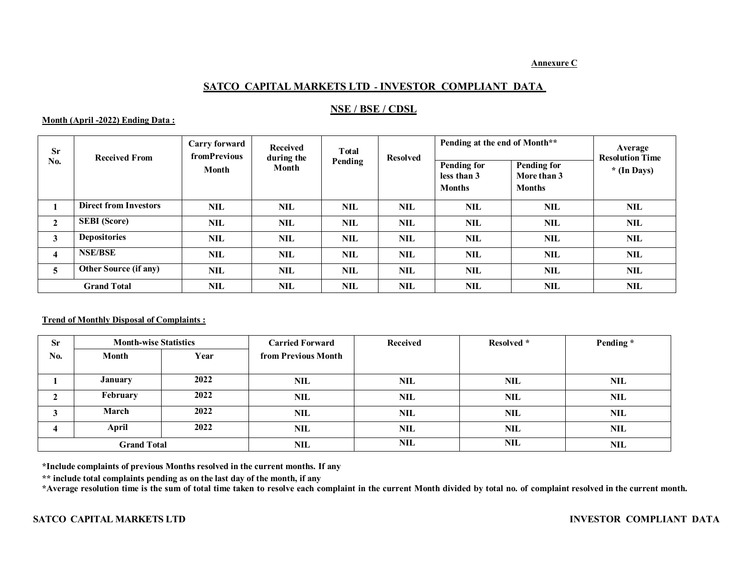### **Annexure C**

# **SATCO CAPITAL MARKETS LTD - INVESTOR COMPLIANT DATA**

## **NSE / BSE / CDSL**

## **Month (April -2022) Ending Data :**

| <b>Sr</b><br>No.        | <b>Received From</b>         | <b>Carry forward</b><br><b>fromPrevious</b><br>Month | Received<br>during the<br>Month | <b>T</b> otal<br>Pending | <b>Resolved</b> | Pending at the end of Month**     |                                   | Average<br><b>Resolution Time</b> |
|-------------------------|------------------------------|------------------------------------------------------|---------------------------------|--------------------------|-----------------|-----------------------------------|-----------------------------------|-----------------------------------|
|                         |                              |                                                      |                                 |                          |                 | <b>Pending for</b><br>less than 3 | <b>Pending for</b><br>More than 3 | $*(In \, Days)$                   |
|                         |                              |                                                      |                                 |                          |                 | <b>Months</b>                     | <b>Months</b>                     |                                   |
|                         | <b>Direct from Investors</b> | <b>NIL</b>                                           | <b>NIL</b>                      | <b>NIL</b>               | <b>NIL</b>      | <b>NIL</b>                        | <b>NIL</b>                        | <b>NIL</b>                        |
| $\mathbf{2}$            | <b>SEBI</b> (Score)          | <b>NIL</b>                                           | <b>NIL</b>                      | <b>NIL</b>               | <b>NIL</b>      | <b>NIL</b>                        | NIL                               | NIL                               |
| 3                       | <b>Depositories</b>          | <b>NIL</b>                                           | <b>NIL</b>                      | <b>NIL</b>               | <b>NIL</b>      | <b>NIL</b>                        | <b>NIL</b>                        | <b>NIL</b>                        |
| $\overline{\mathbf{4}}$ | <b>NSE/BSE</b>               | <b>NIL</b>                                           | NIL                             | <b>NIL</b>               | <b>NIL</b>      | NIL                               | <b>NIL</b>                        | NIL                               |
| 5                       | <b>Other Source (if any)</b> | <b>NIL</b>                                           | <b>NIL</b>                      | <b>NIL</b>               | <b>NIL</b>      | <b>NIL</b>                        | <b>NIL</b>                        | NIL                               |
|                         | <b>Grand Total</b>           | <b>NIL</b>                                           | NIL                             | NIL                      | NIL             | NIL                               | NIL                               | NIL                               |

## **Trend of Monthly Disposal of Complaints :**

| <b>Sr</b>          | <b>Month-wise Statistics</b> |      | <b>Carried Forward</b> | Received   | Resolved * | Pending*   |
|--------------------|------------------------------|------|------------------------|------------|------------|------------|
| No.                | Month                        | Year | from Previous Month    |            |            |            |
|                    |                              |      |                        |            |            |            |
|                    | <b>January</b>               | 2022 | <b>NIL</b>             | <b>NIL</b> | NIL        | <b>NIL</b> |
|                    | February                     | 2022 | <b>NIL</b>             | <b>NIL</b> | <b>NIL</b> | <b>NIL</b> |
|                    | March                        | 2022 | <b>NIL</b>             | <b>NIL</b> | NIL        | <b>NIL</b> |
|                    | April                        | 2022 | NIL                    | <b>NIL</b> | NIL        | <b>NIL</b> |
| <b>Grand Total</b> |                              |      | <b>NIL</b>             | <b>NIL</b> | <b>NIL</b> | <b>NIL</b> |

**\*Include complaints of previous Months resolved in the current months. If any**

**\*\* include total complaints pending as on the last day of the month, if any**

\*Average resolution time is the sum of total time taken to resolve each complaint in the current Month divided by total no. of complaint resolved in the current month.

### **SATCO CAPITAL MARKETS LTD INVESTOR COMPLIANT DATA**